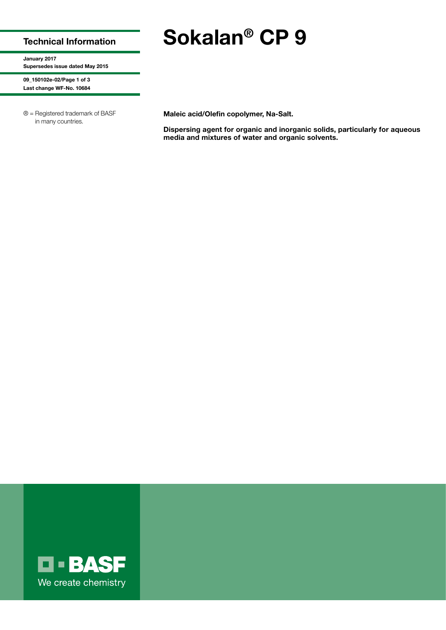## Technical Information

January 2017 Supersedes issue dated May 2015

09\_150102e-02/Page 1 of 3 Last change WF-No. 10684

® = Registered trademark of BASF in many countries.

Maleic acid/Olefin copolymer, Na-Salt.

Dispersing agent for organic and inorganic solids, particularly for aqueous media and mixtures of water and organic solvents.



Sokalan® CP 9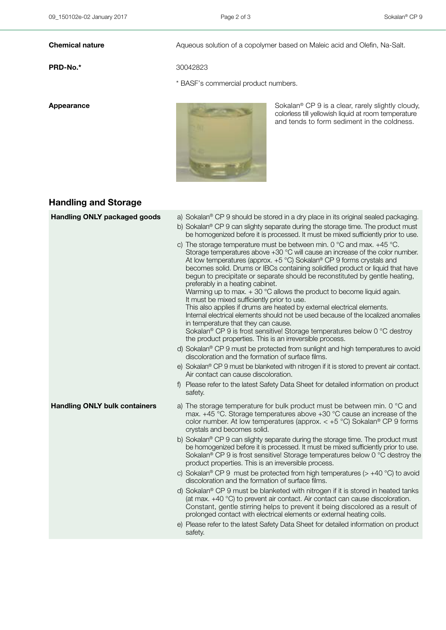PRD-No.\* 30042823

**Chemical nature Aqueous solution of a copolymer based on Maleic acid and Olefin, Na-Salt.** 

\* BASF's commercial product numbers.



Appearance **Sokalan**® CP 9 is a clear, rarely slightly cloudy, colorless till yellowish liquid at room temperature and tends to form sediment in the coldness.

# Handling and Storage

| <b>Handling ONLY packaged goods</b>  | a) Sokalan® CP 9 should be stored in a dry place in its original sealed packaging.                                                                                                                                                                                                                                                                                                                                                                                                                                                                                                                                                                                                                                                                                                                                                                                                                                                             |
|--------------------------------------|------------------------------------------------------------------------------------------------------------------------------------------------------------------------------------------------------------------------------------------------------------------------------------------------------------------------------------------------------------------------------------------------------------------------------------------------------------------------------------------------------------------------------------------------------------------------------------------------------------------------------------------------------------------------------------------------------------------------------------------------------------------------------------------------------------------------------------------------------------------------------------------------------------------------------------------------|
|                                      | b) Sokalan® CP 9 can slighty separate during the storage time. The product must<br>be homogenized before it is processed. It must be mixed sufficiently prior to use.                                                                                                                                                                                                                                                                                                                                                                                                                                                                                                                                                                                                                                                                                                                                                                          |
|                                      | c) The storage temperature must be between min. 0 $^{\circ}$ C and max. +45 $^{\circ}$ C.<br>Storage temperatures above +30 °C will cause an increase of the color number.<br>At low temperatures (approx. $+5$ °C) Sokalan® CP 9 forms crystals and<br>becomes solid. Drums or IBCs containing solidified product or liquid that have<br>begun to precipitate or separate should be reconstituted by gentle heating,<br>preferably in a heating cabinet.<br>Warming up to max. $+30$ °C allows the product to become liquid again.<br>It must be mixed sufficiently prior to use.<br>This also applies if drums are heated by external electrical elements.<br>Internal electrical elements should not be used because of the localized anomalies<br>in temperature that they can cause.<br>Sokalan <sup>®</sup> CP 9 is frost sensitive! Storage temperatures below 0 °C destroy<br>the product properties. This is an irreversible process. |
|                                      | d) Sokalan® CP 9 must be protected from sunlight and high temperatures to avoid<br>discoloration and the formation of surface films.                                                                                                                                                                                                                                                                                                                                                                                                                                                                                                                                                                                                                                                                                                                                                                                                           |
|                                      | e) Sokalan® CP 9 must be blanketed with nitrogen if it is stored to prevent air contact.<br>Air contact can cause discoloration.                                                                                                                                                                                                                                                                                                                                                                                                                                                                                                                                                                                                                                                                                                                                                                                                               |
|                                      | Please refer to the latest Safety Data Sheet for detailed information on product<br>$\mathsf{f}$<br>safety.                                                                                                                                                                                                                                                                                                                                                                                                                                                                                                                                                                                                                                                                                                                                                                                                                                    |
| <b>Handling ONLY bulk containers</b> | a) The storage temperature for bulk product must be between min. 0 °C and<br>max. $+45$ °C. Storage temperatures above $+30$ °C cause an increase of the<br>color number. At low temperatures (approx. $< +5$ °C) Sokalan <sup>®</sup> CP 9 forms<br>crystals and becomes solid.                                                                                                                                                                                                                                                                                                                                                                                                                                                                                                                                                                                                                                                               |
|                                      | b) Sokalan® CP 9 can slighty separate during the storage time. The product must<br>be homogenized before it is processed. It must be mixed sufficiently prior to use.<br>Sokalan <sup>®</sup> CP 9 is frost sensitive! Storage temperatures below 0 °C destroy the<br>product properties. This is an irreversible process.                                                                                                                                                                                                                                                                                                                                                                                                                                                                                                                                                                                                                     |
|                                      | c) Sokalan <sup>®</sup> CP 9 must be protected from high temperatures ( $>$ +40 °C) to avoid<br>discoloration and the formation of surface films.                                                                                                                                                                                                                                                                                                                                                                                                                                                                                                                                                                                                                                                                                                                                                                                              |
|                                      | d) Sokalan® CP 9 must be blanketed with nitrogen if it is stored in heated tanks<br>(at max. $+40$ °C) to prevent air contact. Air contact can cause discoloration.<br>Constant, gentle stirring helps to prevent it being discolored as a result of<br>prolonged contact with electrical elements or external heating coils.                                                                                                                                                                                                                                                                                                                                                                                                                                                                                                                                                                                                                  |
|                                      | e) Please refer to the latest Safety Data Sheet for detailed information on product<br>safety.                                                                                                                                                                                                                                                                                                                                                                                                                                                                                                                                                                                                                                                                                                                                                                                                                                                 |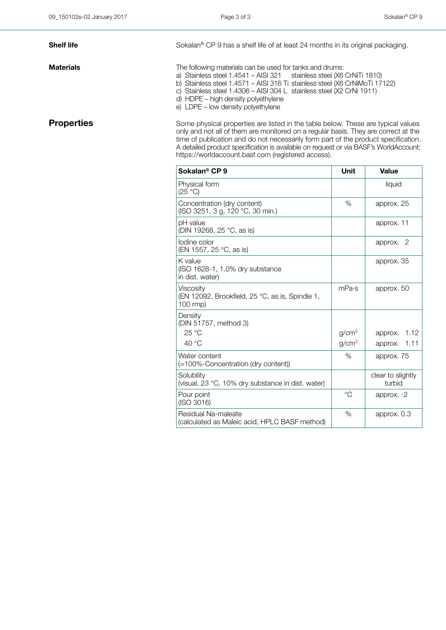**Shelf life** Sokalan® CP 9 has a shelf life of at least 24 months in its original packaging.

**Materials** Materials **The following materials can be used for tanks and drums:** 

a) Stainless steel 1.4541 – AISI 321 stainless steel (X6 CrNiTi 1810)

b) Stainless steel 1.4571 – AISI 316 Ti stainless steel (X6 CrNiMoTi 17122)

c) Stainless steel 1.4306 – AISI 304 L stainless steel (X2 CrNi 1911) d) HDPE – high density polyethylene

e) LDPE – low density polyethylene

**Properties** Some physical properties are listed in the table below. These are typical values only and not all of them are monitored on a regular basis. They are correct at the time of publication and do not necessarily form part of the product specification. A detailed product specification is available on request or via BASF's WorldAccount: https://worldaccount.basf.com (registered access).

| Sokalan <sup>®</sup> CP 9                                                | Unit              | Value                       |
|--------------------------------------------------------------------------|-------------------|-----------------------------|
| Physical form<br>(25 °C)                                                 |                   | liquid                      |
| Concentration (dry content)<br>(ISO 3251, 3 g, 120 °C, 30 min.)          | $\%$              | approx. 25                  |
| pH value<br>(DIN 19268, 25 °C, as is)                                    |                   | approx. 11                  |
| lodine color<br>(EN 1557, 25 °C, as is)                                  |                   | -2<br>approx.               |
| K value<br>(ISO 1628-1, 1.0% dry substance<br>in dist. water)            |                   | approx. 35                  |
| Viscosity<br>(EN 12092, Brookfield, 25 °C, as is, Spindle 1,<br>100 rmp) | mPa·s             | approx. 50                  |
| Density<br>(DIN 51757, method 3)                                         |                   |                             |
| $25^{\circ}$ C                                                           | g/cm <sup>3</sup> | approx. 1.12                |
| 40 °C                                                                    | g/cm <sup>3</sup> | approx. 1.11                |
| Water content<br>(=100%-Concentration (dry content))                     | $\%$              | approx. 75                  |
| Solubility<br>(visual, 23 °C, 10% dry substance in dist. water)          |                   | clear to slightly<br>turbid |
| Pour point<br>(ISO 3016)                                                 | $^{\circ}C$       | approx. -2                  |
| Residual Na-maleate<br>(calculated as Maleic acid, HPLC BASF method)     | $\%$              | approx. 0.3                 |